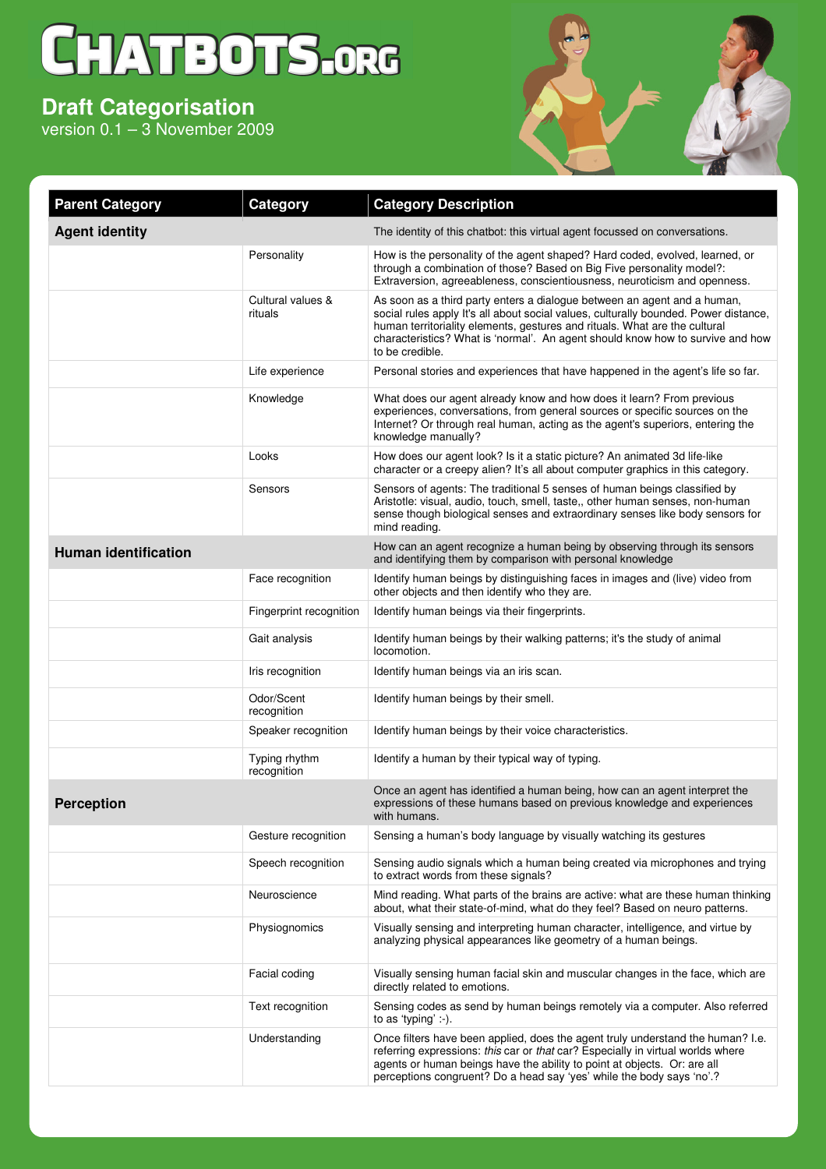## CHATBOTS.ORG

## **Draft Categorisation**

version 0.1 – 3 November 2009



| <b>Parent Category</b>      | Category                     | <b>Category Description</b>                                                                                                                                                                                                                                                                                                                         |
|-----------------------------|------------------------------|-----------------------------------------------------------------------------------------------------------------------------------------------------------------------------------------------------------------------------------------------------------------------------------------------------------------------------------------------------|
| <b>Agent identity</b>       |                              | The identity of this chatbot: this virtual agent focussed on conversations.                                                                                                                                                                                                                                                                         |
|                             | Personality                  | How is the personality of the agent shaped? Hard coded, evolved, learned, or<br>through a combination of those? Based on Big Five personality model?:<br>Extraversion, agreeableness, conscientiousness, neuroticism and openness.                                                                                                                  |
|                             | Cultural values &<br>rituals | As soon as a third party enters a dialogue between an agent and a human,<br>social rules apply It's all about social values, culturally bounded. Power distance,<br>human territoriality elements, gestures and rituals. What are the cultural<br>characteristics? What is 'normal'. An agent should know how to survive and how<br>to be credible. |
|                             | Life experience              | Personal stories and experiences that have happened in the agent's life so far.                                                                                                                                                                                                                                                                     |
|                             | Knowledge                    | What does our agent already know and how does it learn? From previous<br>experiences, conversations, from general sources or specific sources on the<br>Internet? Or through real human, acting as the agent's superiors, entering the<br>knowledge manually?                                                                                       |
|                             | Looks                        | How does our agent look? Is it a static picture? An animated 3d life-like<br>character or a creepy alien? It's all about computer graphics in this category.                                                                                                                                                                                        |
|                             | Sensors                      | Sensors of agents: The traditional 5 senses of human beings classified by<br>Aristotle: visual, audio, touch, smell, taste,, other human senses, non-human<br>sense though biological senses and extraordinary senses like body sensors for<br>mind reading.                                                                                        |
| <b>Human identification</b> |                              | How can an agent recognize a human being by observing through its sensors<br>and identifying them by comparison with personal knowledge                                                                                                                                                                                                             |
|                             | Face recognition             | Identify human beings by distinguishing faces in images and (live) video from<br>other objects and then identify who they are.                                                                                                                                                                                                                      |
|                             | Fingerprint recognition      | Identify human beings via their fingerprints.                                                                                                                                                                                                                                                                                                       |
|                             | Gait analysis                | Identify human beings by their walking patterns; it's the study of animal<br>locomotion.                                                                                                                                                                                                                                                            |
|                             | Iris recognition             | Identify human beings via an iris scan.                                                                                                                                                                                                                                                                                                             |
|                             | Odor/Scent<br>recognition    | Identify human beings by their smell.                                                                                                                                                                                                                                                                                                               |
|                             | Speaker recognition          | Identify human beings by their voice characteristics.                                                                                                                                                                                                                                                                                               |
|                             | Typing rhythm<br>recognition | Identify a human by their typical way of typing.                                                                                                                                                                                                                                                                                                    |
| <b>Perception</b>           |                              | Once an agent has identified a human being, how can an agent interpret the<br>expressions of these humans based on previous knowledge and experiences<br>with humans.                                                                                                                                                                               |
|                             | Gesture recognition          | Sensing a human's body language by visually watching its gestures                                                                                                                                                                                                                                                                                   |
|                             | Speech recognition           | Sensing audio signals which a human being created via microphones and trying<br>to extract words from these signals?                                                                                                                                                                                                                                |
|                             | Neuroscience                 | Mind reading. What parts of the brains are active: what are these human thinking<br>about, what their state-of-mind, what do they feel? Based on neuro patterns.                                                                                                                                                                                    |
|                             | Physiognomics                | Visually sensing and interpreting human character, intelligence, and virtue by<br>analyzing physical appearances like geometry of a human beings.                                                                                                                                                                                                   |
|                             | Facial coding                | Visually sensing human facial skin and muscular changes in the face, which are<br>directly related to emotions.                                                                                                                                                                                                                                     |
|                             | Text recognition             | Sensing codes as send by human beings remotely via a computer. Also referred<br>to as 'typing' :-).                                                                                                                                                                                                                                                 |
|                             | Understanding                | Once filters have been applied, does the agent truly understand the human? I.e.<br>referring expressions: this car or that car? Especially in virtual worlds where<br>agents or human beings have the ability to point at objects. Or: are all<br>perceptions congruent? Do a head say 'yes' while the body says 'no'.?                             |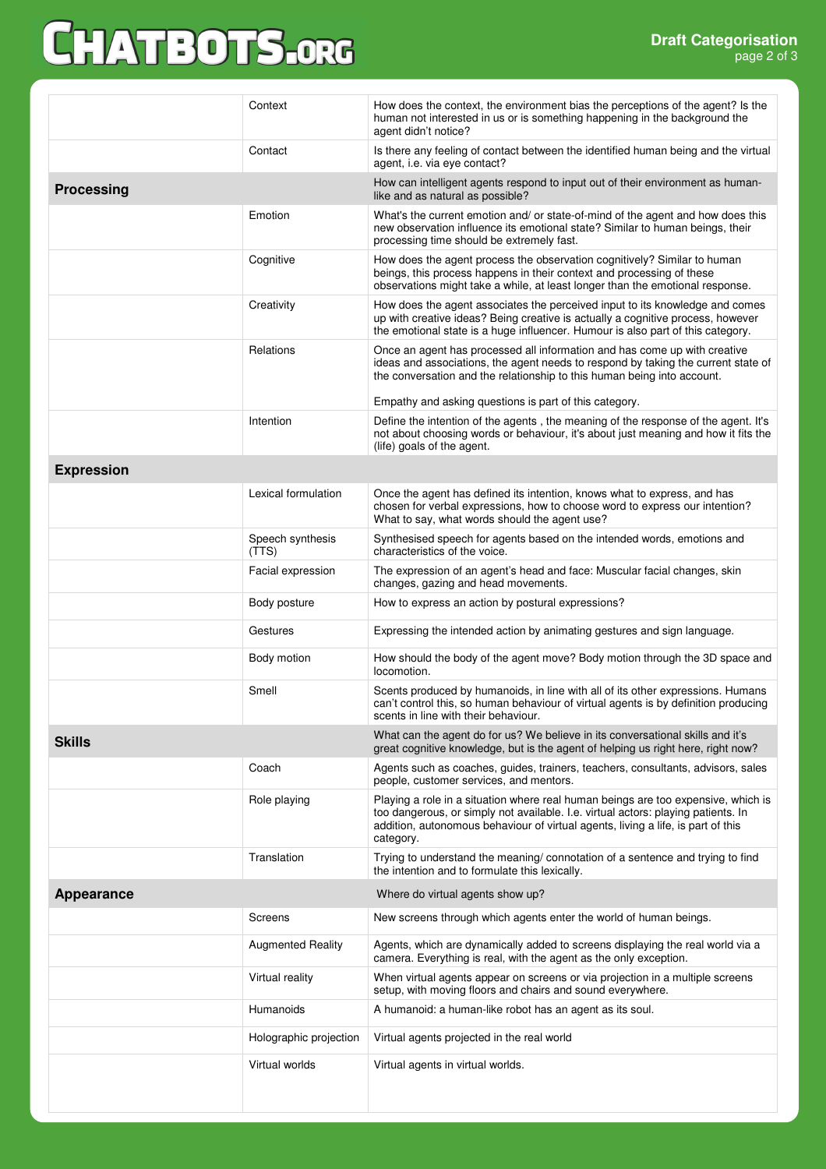## CHATBOTS.ORG

|                   | Context                   | How does the context, the environment bias the perceptions of the agent? Is the<br>human not interested in us or is something happening in the background the<br>agent didn't notice?                                                                                   |  |  |
|-------------------|---------------------------|-------------------------------------------------------------------------------------------------------------------------------------------------------------------------------------------------------------------------------------------------------------------------|--|--|
|                   | Contact                   | Is there any feeling of contact between the identified human being and the virtual<br>agent, i.e. via eye contact?                                                                                                                                                      |  |  |
| <b>Processing</b> |                           | How can intelligent agents respond to input out of their environment as human-<br>like and as natural as possible?                                                                                                                                                      |  |  |
|                   | Emotion                   | What's the current emotion and/ or state-of-mind of the agent and how does this<br>new observation influence its emotional state? Similar to human beings, their<br>processing time should be extremely fast.                                                           |  |  |
|                   | Cognitive                 | How does the agent process the observation cognitively? Similar to human<br>beings, this process happens in their context and processing of these<br>observations might take a while, at least longer than the emotional response.                                      |  |  |
|                   | Creativity                | How does the agent associates the perceived input to its knowledge and comes<br>up with creative ideas? Being creative is actually a cognitive process, however<br>the emotional state is a huge influencer. Humour is also part of this category.                      |  |  |
|                   | Relations                 | Once an agent has processed all information and has come up with creative<br>ideas and associations, the agent needs to respond by taking the current state of<br>the conversation and the relationship to this human being into account.                               |  |  |
|                   |                           | Empathy and asking questions is part of this category.                                                                                                                                                                                                                  |  |  |
|                   | Intention                 | Define the intention of the agents, the meaning of the response of the agent. It's<br>not about choosing words or behaviour, it's about just meaning and how it fits the<br>(life) goals of the agent.                                                                  |  |  |
| <b>Expression</b> |                           |                                                                                                                                                                                                                                                                         |  |  |
|                   | Lexical formulation       | Once the agent has defined its intention, knows what to express, and has<br>chosen for verbal expressions, how to choose word to express our intention?<br>What to say, what words should the agent use?                                                                |  |  |
|                   | Speech synthesis<br>(TTS) | Synthesised speech for agents based on the intended words, emotions and<br>characteristics of the voice.                                                                                                                                                                |  |  |
|                   | Facial expression         | The expression of an agent's head and face: Muscular facial changes, skin<br>changes, gazing and head movements.                                                                                                                                                        |  |  |
|                   | Body posture              | How to express an action by postural expressions?                                                                                                                                                                                                                       |  |  |
|                   | Gestures                  | Expressing the intended action by animating gestures and sign language.                                                                                                                                                                                                 |  |  |
|                   | Body motion               | How should the body of the agent move? Body motion through the 3D space and<br>locomotion.                                                                                                                                                                              |  |  |
|                   | Smell                     | Scents produced by humanoids, in line with all of its other expressions. Humans<br>can't control this, so human behaviour of virtual agents is by definition producing<br>scents in line with their behaviour.                                                          |  |  |
| <b>Skills</b>     |                           | What can the agent do for us? We believe in its conversational skills and it's<br>great cognitive knowledge, but is the agent of helping us right here, right now?                                                                                                      |  |  |
|                   | Coach                     | Agents such as coaches, guides, trainers, teachers, consultants, advisors, sales<br>people, customer services, and mentors.                                                                                                                                             |  |  |
|                   | Role playing              | Playing a role in a situation where real human beings are too expensive, which is<br>too dangerous, or simply not available. I.e. virtual actors: playing patients. In<br>addition, autonomous behaviour of virtual agents, living a life, is part of this<br>category. |  |  |
|                   | Translation               | Trying to understand the meaning/ connotation of a sentence and trying to find<br>the intention and to formulate this lexically.                                                                                                                                        |  |  |
| <b>Appearance</b> |                           | Where do virtual agents show up?                                                                                                                                                                                                                                        |  |  |
|                   | <b>Screens</b>            | New screens through which agents enter the world of human beings.                                                                                                                                                                                                       |  |  |
|                   | <b>Augmented Reality</b>  | Agents, which are dynamically added to screens displaying the real world via a<br>camera. Everything is real, with the agent as the only exception.                                                                                                                     |  |  |
|                   | Virtual reality           | When virtual agents appear on screens or via projection in a multiple screens<br>setup, with moving floors and chairs and sound everywhere.                                                                                                                             |  |  |
|                   | Humanoids                 | A humanoid: a human-like robot has an agent as its soul.                                                                                                                                                                                                                |  |  |
|                   | Holographic projection    | Virtual agents projected in the real world                                                                                                                                                                                                                              |  |  |
|                   | Virtual worlds            | Virtual agents in virtual worlds.                                                                                                                                                                                                                                       |  |  |